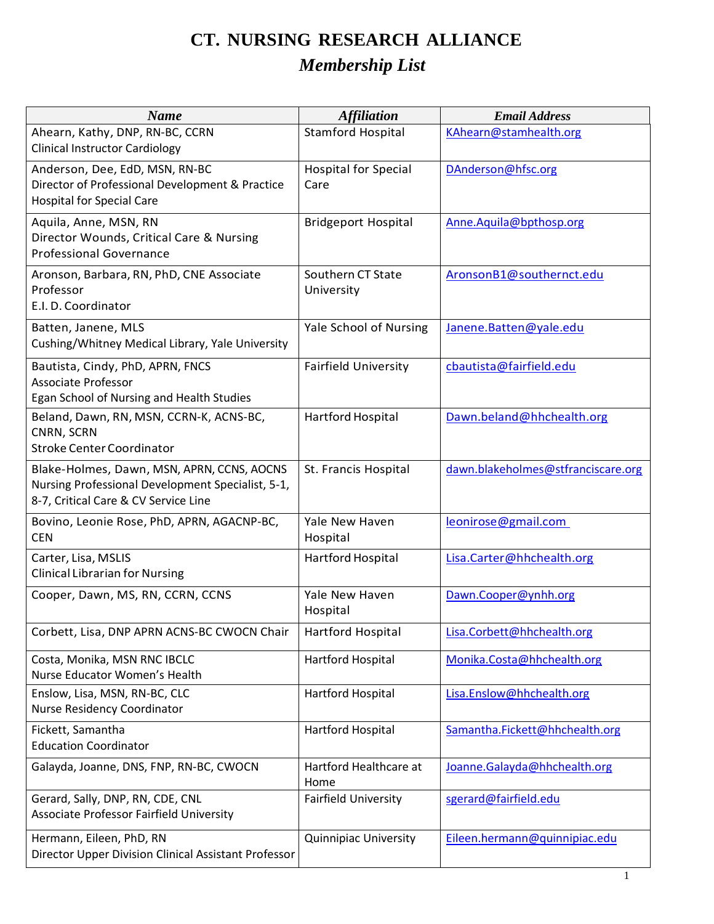## **CT. NURSING RESEARCH ALLIANCE** *Membership List*

| <b>Name</b>                                                                                                                             | <b>Affiliation</b>                  | <b>Email Address</b>               |
|-----------------------------------------------------------------------------------------------------------------------------------------|-------------------------------------|------------------------------------|
| Ahearn, Kathy, DNP, RN-BC, CCRN                                                                                                         | <b>Stamford Hospital</b>            | KAhearn@stamhealth.org             |
| <b>Clinical Instructor Cardiology</b>                                                                                                   |                                     |                                    |
| Anderson, Dee, EdD, MSN, RN-BC<br>Director of Professional Development & Practice<br><b>Hospital for Special Care</b>                   | <b>Hospital for Special</b><br>Care | DAnderson@hfsc.org                 |
|                                                                                                                                         |                                     |                                    |
| Aquila, Anne, MSN, RN<br>Director Wounds, Critical Care & Nursing<br><b>Professional Governance</b>                                     | <b>Bridgeport Hospital</b>          | Anne.Aquila@bpthosp.org            |
| Aronson, Barbara, RN, PhD, CNE Associate<br>Professor<br>E.I. D. Coordinator                                                            | Southern CT State<br>University     | AronsonB1@southernct.edu           |
| Batten, Janene, MLS<br>Cushing/Whitney Medical Library, Yale University                                                                 | Yale School of Nursing              | Janene.Batten@yale.edu             |
| Bautista, Cindy, PhD, APRN, FNCS<br><b>Associate Professor</b><br>Egan School of Nursing and Health Studies                             | <b>Fairfield University</b>         | cbautista@fairfield.edu            |
| Beland, Dawn, RN, MSN, CCRN-K, ACNS-BC,<br>CNRN, SCRN<br><b>Stroke Center Coordinator</b>                                               | Hartford Hospital                   | Dawn.beland@hhchealth.org          |
| Blake-Holmes, Dawn, MSN, APRN, CCNS, AOCNS<br>Nursing Professional Development Specialist, 5-1,<br>8-7, Critical Care & CV Service Line | St. Francis Hospital                | dawn.blakeholmes@stfranciscare.org |
| Bovino, Leonie Rose, PhD, APRN, AGACNP-BC,<br><b>CEN</b>                                                                                | Yale New Haven<br>Hospital          | leonirose@gmail.com                |
| Carter, Lisa, MSLIS<br><b>Clinical Librarian for Nursing</b>                                                                            | Hartford Hospital                   | Lisa.Carter@hhchealth.org          |
| Cooper, Dawn, MS, RN, CCRN, CCNS                                                                                                        | Yale New Haven<br>Hospital          | Dawn.Cooper@ynhh.org               |
| Corbett, Lisa, DNP APRN ACNS-BC CWOCN Chair                                                                                             | Hartford Hospital                   | Lisa.Corbett@hhchealth.org         |
| Costa, Monika, MSN RNC IBCLC<br>Nurse Educator Women's Health                                                                           | Hartford Hospital                   | Monika.Costa@hhchealth.org         |
| Enslow, Lisa, MSN, RN-BC, CLC<br>Nurse Residency Coordinator                                                                            | Hartford Hospital                   | Lisa.Enslow@hhchealth.org          |
| Fickett, Samantha<br><b>Education Coordinator</b>                                                                                       | Hartford Hospital                   | Samantha.Fickett@hhchealth.org     |
| Galayda, Joanne, DNS, FNP, RN-BC, CWOCN                                                                                                 | Hartford Healthcare at<br>Home      | Joanne.Galayda@hhchealth.org       |
| Gerard, Sally, DNP, RN, CDE, CNL<br>Associate Professor Fairfield University                                                            | <b>Fairfield University</b>         | sgerard@fairfield.edu              |
| Hermann, Eileen, PhD, RN<br>Director Upper Division Clinical Assistant Professor                                                        | <b>Quinnipiac University</b>        | Eileen.hermann@quinnipiac.edu      |